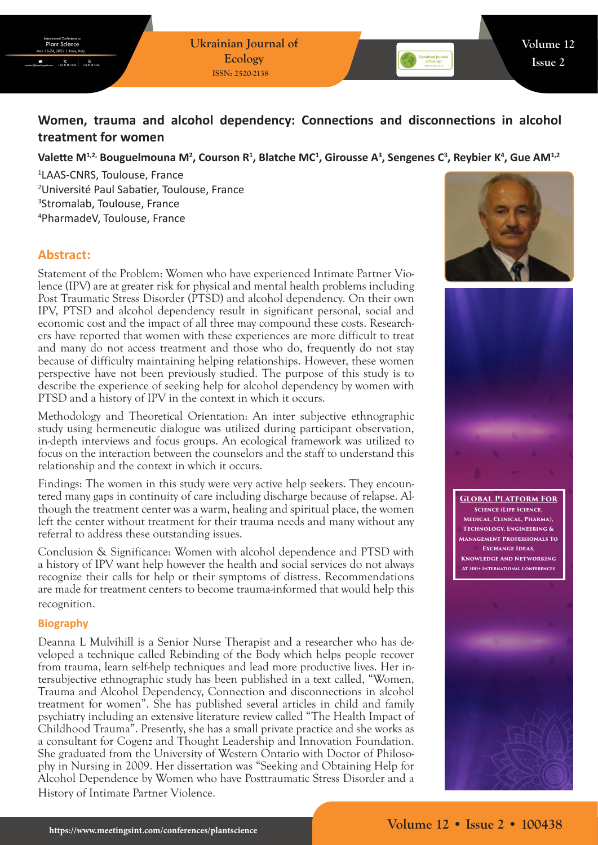# **Women, trauma and alcohol dependency: Connections and disconnections in alcohol treatment for women**

## Valette M<sup>1,2,</sup> Bouguelmouna M<sup>2</sup>, Courson R<sup>1</sup>, Blatche MC<sup>1</sup>, Girousse A<sup>3</sup>, Sengenes C<sup>3</sup>, Reybier K<sup>4</sup>, Gue AM<sup>1,2</sup>

 LAAS-CNRS, Toulouse, France Université Paul Sabatier, Toulouse, France Stromalab, Toulouse, France PharmadeV, Toulouse, France

## **Abstract:**

Statement of the Problem: Women who have experienced Intimate Partner Violence (IPV) are at greater risk for physical and mental health problems including Post Traumatic Stress Disorder (PTSD) and alcohol dependency. On their own IPV, PTSD and alcohol dependency result in significant personal, social and economic cost and the impact of all three may compound these costs. Researchers have reported that women with these experiences are more difficult to treat and many do not access treatment and those who do, frequently do not stay because of difficulty maintaining helping relationships. However, these women perspective have not been previously studied. The purpose of this study is to describe the experience of seeking help for alcohol dependency by women with PTSD and a history of IPV in the context in which it occurs.

Methodology and Theoretical Orientation: An inter subjective ethnographic study using hermeneutic dialogue was utilized during participant observation, in-depth interviews and focus groups. An ecological framework was utilized to focus on the interaction between the counselors and the staff to understand this relationship and the context in which it occurs.

Findings: The women in this study were very active help seekers. They encountered many gaps in continuity of care including discharge because of relapse. Although the treatment center was a warm, healing and spiritual place, the women left the center without treatment for their trauma needs and many without any referral to address these outstanding issues.

Conclusion & Significance: Women with alcohol dependence and PTSD with a history of IPV want help however the health and social services do not always recognize their calls for help or their symptoms of distress. Recommendations are made for treatment centers to become trauma-informed that would help this recognition.

### **Biography**

Deanna L Mulvihill is a Senior Nurse Therapist and a researcher who has developed a technique called Rebinding of the Body which helps people recover from trauma, learn self-help techniques and lead more productive lives. Her intersubjective ethnographic study has been published in a text called, "Women, Trauma and Alcohol Dependency, Connection and disconnections in alcohol treatment for women". She has published several articles in child and family psychiatry including an extensive literature review called "The Health Impact of Childhood Trauma". Presently, she has a small private practice and she works as a consultant for Cogenz and Thought Leadership and Innovation Foundation. She graduated from the University of Western Ontario with Doctor of Philosophy in Nursing in 2009. Her dissertation was "Seeking and Obtaining Help for Alcohol Dependence by Women who have Posttraumatic Stress Disorder and a History of Intimate Partner Violence.





**Global Platform For Science (Life Science, Medical, Clinical, Pharma), Technology, Engineering & Management Professionals To Exchange Ideas, Knowledge And Networking At 300+ International Conferences**